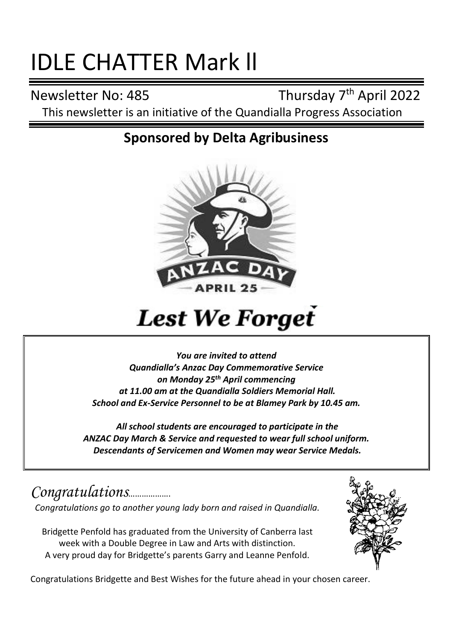# IDLE CHATTER Mark ll

Newsletter No: 485

Thursday 7<sup>th</sup> April 2022 This newsletter is an initiative of the Quandialla Progress Association

### **Sponsored by Delta Agribusiness**



## **Lest We Forget**

*You are invited to attend Quandialla's Anzac Day Commemorative Service on Monday 25th April commencing at 11.00 am at the Quandialla Soldiers Memorial Hall. School and Ex-Service Personnel to be at Blamey Park by 10.45 am.*

*All school students are encouraged to participate in the ANZAC Day March & Service and requested to wear full school uniform. Descendants of Servicemen and Women may wear Service Medals.*

*Congratulations*………………. *Congratulations go to another young lady born and raised in Quandialla.*

Bridgette Penfold has graduated from the University of Canberra last week with a Double Degree in Law and Arts with distinction. A very proud day for Bridgette's parents Garry and Leanne Penfold.



Congratulations Bridgette and Best Wishes for the future ahead in your chosen career.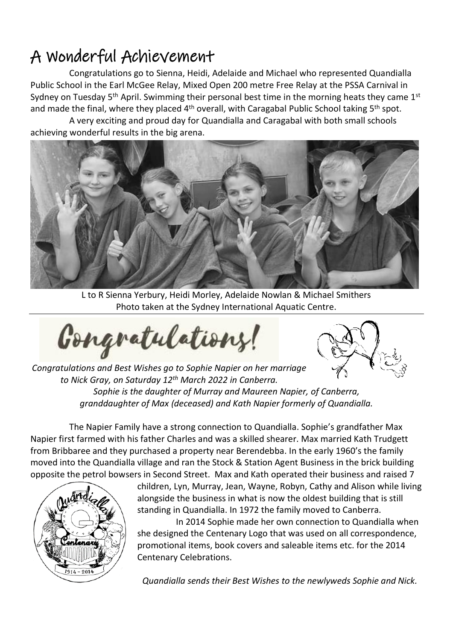### A Wonderful Achievement

Congratulations go to Sienna, Heidi, Adelaide and Michael who represented Quandialla Public School in the Earl McGee Relay, Mixed Open 200 metre Free Relay at the PSSA Carnival in Sydney on Tuesday 5<sup>th</sup> April. Swimming their personal best time in the morning heats they came  $1^{st}$ and made the final, where they placed 4<sup>th</sup> overall, with Caragabal Public School taking 5<sup>th</sup> spot.

A very exciting and proud day for Quandialla and Caragabal with both small schools achieving wonderful results in the big arena.



L to R Sienna Yerbury, Heidi Morley, Adelaide Nowlan & Michael Smithers Photo taken at the Sydney International Aquatic Centre.

Gongratulations!



*Congratulations and Best Wishes go to Sophie Napier on her marriage to Nick Gray, on Saturday 12th March 2022 in Canberra. Sophie is the daughter of Murray and Maureen Napier, of Canberra, granddaughter of Max (deceased) and Kath Napier formerly of Quandialla.*

The Napier Family have a strong connection to Quandialla. Sophie's grandfather Max Napier first farmed with his father Charles and was a skilled shearer. Max married Kath Trudgett from Bribbaree and they purchased a property near Berendebba. In the early 1960's the family moved into the Quandialla village and ran the Stock & Station Agent Business in the brick building opposite the petrol bowsers in Second Street. Max and Kath operated their business and raised 7



children, Lyn, Murray, Jean, Wayne, Robyn, Cathy and Alison while living alongside the business in what is now the oldest building that is still standing in Quandialla. In 1972 the family moved to Canberra.

In 2014 Sophie made her own connection to Quandialla when she designed the Centenary Logo that was used on all correspondence, promotional items, book covers and saleable items etc. for the 2014 Centenary Celebrations.

*Quandialla sends their Best Wishes to the newlyweds Sophie and Nick.*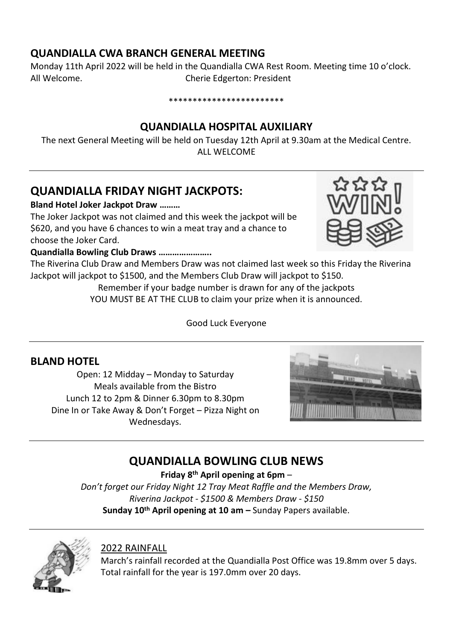#### **QUANDIALLA CWA BRANCH GENERAL MEETING**

Monday 11th April 2022 will be held in the Quandialla CWA Rest Room. Meeting time 10 o'clock. All Welcome. Cherie Edgerton: President

#### \*\*\*\*\*\*\*\*\*\*\*\*\*\*\*\*\*\*\*\*\*\*\*\*

#### **QUANDIALLA HOSPITAL AUXILIARY**

The next General Meeting will be held on Tuesday 12th April at 9.30am at the Medical Centre. ALL WELCOME

#### **QUANDIALLA FRIDAY NIGHT JACKPOTS:**

**Bland Hotel Joker Jackpot Draw ………**

The Joker Jackpot was not claimed and this week the jackpot will be \$620, and you have 6 chances to win a meat tray and a chance to choose the Joker Card.



**Quandialla Bowling Club Draws …………………..**

The Riverina Club Draw and Members Draw was not claimed last week so this Friday the Riverina Jackpot will jackpot to \$1500, and the Members Club Draw will jackpot to \$150.

Remember if your badge number is drawn for any of the jackpots

YOU MUST BE AT THE CLUB to claim your prize when it is announced.

Good Luck Everyone

#### **BLAND HOTEL**

Open: 12 Midday – Monday to Saturday Meals available from the Bistro Lunch 12 to 2pm & Dinner 6.30pm to 8.30pm Dine In or Take Away & Don't Forget – Pizza Night on Wednesdays.



#### **QUANDIALLA BOWLING CLUB NEWS**

**Friday 8 th April opening at 6pm** –

*Don't forget our Friday Night 12 Tray Meat Raffle and the Members Draw, Riverina Jackpot - \$1500 & Members Draw - \$150* **Sunday 10th April opening at 10 am –** Sunday Papers available.



#### 2022 RAINFALL

March's rainfall recorded at the Quandialla Post Office was 19.8mm over 5 days. Total rainfall for the year is 197.0mm over 20 days.